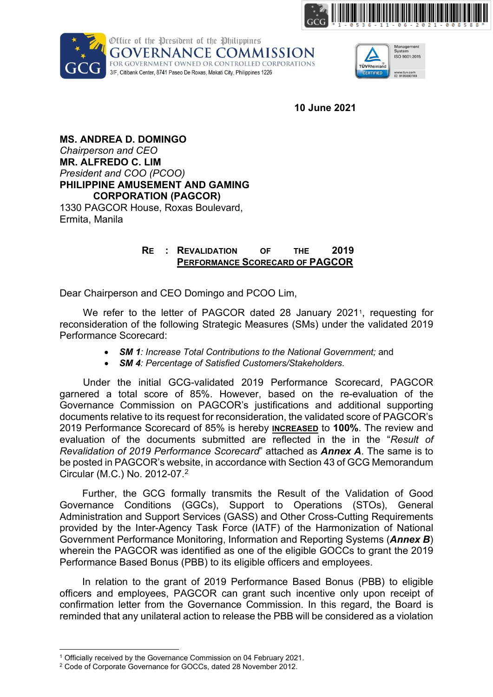





**10 June 2021**

**MS. ANDREA D. DOMINGO** *Chairperson and CEO* **MR. ALFREDO C. LIM** *President and COO (PCOO)* **PHILIPPINE AMUSEMENT AND GAMING CORPORATION (PAGCOR)** 1330 PAGCOR House, Roxas Boulevard, Ermita, Manila

## **RE : REVALIDATION OF THE 2019 PERFORMANCE SCORECARD OF PAGCOR**

Dear Chairperson and CEO Domingo and PCOO Lim,

We refer to the letter of PAGCOR dated 28 January 202[1](#page-0-0)<sup>1</sup>, requesting for reconsideration of the following Strategic Measures (SMs) under the validated 2019 Performance Scorecard:

- *SM 1: Increase Total Contributions to the National Government;* and
- *SM 4: Percentage of Satisfied Customers/Stakeholders*.

Under the initial GCG-validated 2019 Performance Scorecard, PAGCOR garnered a total score of 85%. However, based on the re-evaluation of the Governance Commission on PAGCOR's justifications and additional supporting documents relative to its request for reconsideration, the validated score of PAGCOR's 2019 Performance Scorecard of 85% is hereby **INCREASED** to **100%**. The review and evaluation of the documents submitted are reflected in the in the "*Result of Revalidation of 2019 Performance Scorecard*" attached as *Annex A*. The same is to be posted in PAGCOR's website, in accordance with Section 43 of GCG Memorandum Circular (M.C.) No. 2012-07. [2](#page-0-1)

Further, the GCG formally transmits the Result of the Validation of Good Governance Conditions (GGCs), Support to Operations (STOs), General Administration and Support Services (GASS) and Other Cross-Cutting Requirements provided by the Inter-Agency Task Force (IATF) of the Harmonization of National Government Performance Monitoring, Information and Reporting Systems (*Annex B*) wherein the PAGCOR was identified as one of the eligible GOCCs to grant the 2019 Performance Based Bonus (PBB) to its eligible officers and employees.

In relation to the grant of 2019 Performance Based Bonus (PBB) to eligible officers and employees, PAGCOR can grant such incentive only upon receipt of confirmation letter from the Governance Commission. In this regard, the Board is reminded that any unilateral action to release the PBB will be considered as a violation

<sup>1</sup> Officially received by the Governance Commission on 04 February 2021.

<span id="page-0-1"></span><span id="page-0-0"></span><sup>2</sup> Code of Corporate Governance for GOCCs, dated 28 November 2012.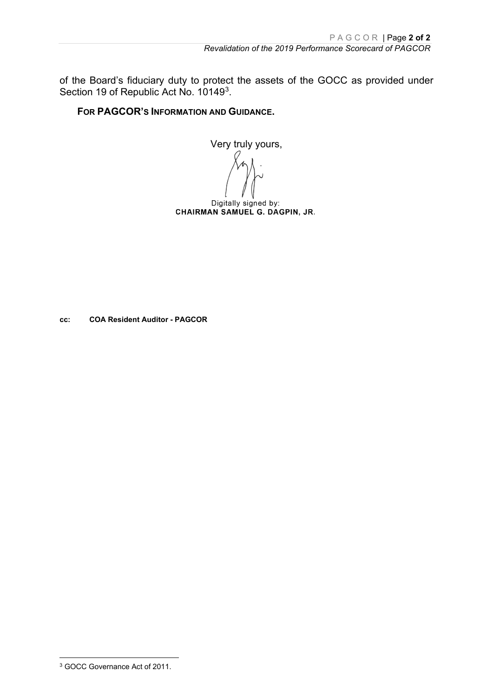of the Board's fiduciary duty to protect the assets of the GOCC as provided under Section 19 of Republic Act No. 10149<sup>3</sup>.

**FOR PAGCOR'S INFORMATION AND GUIDANCE.**

Very truly yours,

Digitally signed by: CHAIRMAN SAMUEL G. DAGPIN, JR.

**cc: COA Resident Auditor - PAGCOR**

<span id="page-1-0"></span><sup>3</sup> GOCC Governance Act of 2011.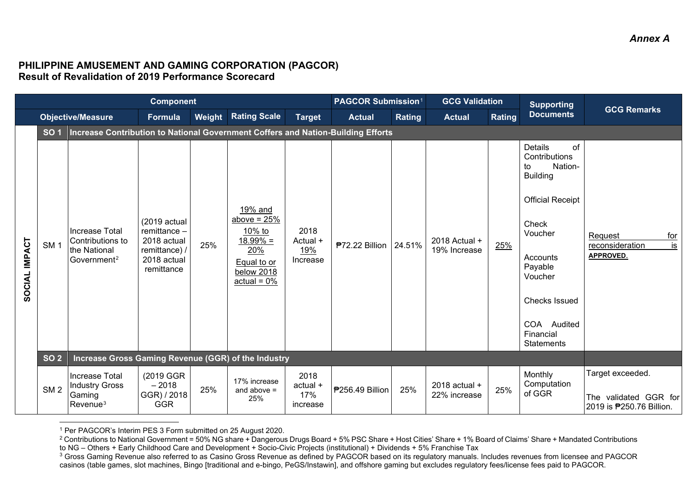## <span id="page-2-2"></span><span id="page-2-1"></span><span id="page-2-0"></span>**PHILIPPINE AMUSEMENT AND GAMING CORPORATION (PAGCOR) Result of Revalidation of 2019 Performance Scorecard**

|               |                 |                                                                                  | <b>Component</b>                                                                          |        |                                                                                                        |                                     | PAGCOR Submission <sup>1</sup> |        | <b>GCG Validation</b>           |        | <b>Supporting</b>                                                                                                                                                                                                     |                                                                               |  |
|---------------|-----------------|----------------------------------------------------------------------------------|-------------------------------------------------------------------------------------------|--------|--------------------------------------------------------------------------------------------------------|-------------------------------------|--------------------------------|--------|---------------------------------|--------|-----------------------------------------------------------------------------------------------------------------------------------------------------------------------------------------------------------------------|-------------------------------------------------------------------------------|--|
|               |                 | <b>Objective/Measure</b>                                                         | Formula                                                                                   | Weight | <b>Rating Scale</b>                                                                                    | <b>Target</b>                       | <b>Actual</b>                  | Rating | <b>Actual</b>                   | Rating | <b>Documents</b>                                                                                                                                                                                                      | <b>GCG Remarks</b>                                                            |  |
|               | <b>SO1</b>      | Increase Contribution to National Government Coffers and Nation-Building Efforts |                                                                                           |        |                                                                                                        |                                     |                                |        |                                 |        |                                                                                                                                                                                                                       |                                                                               |  |
| SOCIAL IMPACT | SM <sub>1</sub> | Increase Total<br>Contributions to<br>the National<br>Government <sup>2</sup>    | (2019 actual<br>remittance -<br>2018 actual<br>remittance) /<br>2018 actual<br>remittance | 25%    | 19% and<br>above = $25%$<br>10% to<br>$18.99\% =$<br>20%<br>Equal to or<br>below 2018<br>$actual = 0%$ | 2018<br>Actual +<br>19%<br>Increase | ₱72.22 Billion   24.51%        |        | 2018 Actual +<br>19% Increase   | 25%    | of<br>Details<br>Contributions<br>Nation-<br>to<br><b>Building</b><br><b>Official Receipt</b><br>Check<br>Voucher<br>Accounts<br>Payable<br>Voucher<br><b>Checks Issued</b><br>COA Audited<br>Financial<br>Statements | Request<br>for<br>is<br>reconsideration<br>APPROVED.                          |  |
|               | <b>SO 2</b>     | <b>Increase Gross Gaming Revenue (GGR) of the Industry</b>                       |                                                                                           |        |                                                                                                        |                                     |                                |        |                                 |        |                                                                                                                                                                                                                       |                                                                               |  |
|               | SM <sub>2</sub> | Increase Total<br><b>Industry Gross</b><br>Gaming<br>$Re$ venue $3$              | (2019 GGR)<br>$-2018$<br>GGR) / 2018<br><b>GGR</b>                                        | 25%    | 17% increase<br>and above $=$<br>25%                                                                   | 2018<br>actual +<br>17%<br>increase | <b>P256.49 Billion</b>         | 25%    | $2018$ actual +<br>22% increase | 25%    | Monthly<br>Computation<br>of GGR                                                                                                                                                                                      | Target exceeded.<br>The validated GGR for<br>2019 is <b>P</b> 250.76 Billion. |  |

<sup>1</sup> Per PAGCOR's Interim PES 3 Form submitted on 25 August 2020.

<sup>2</sup> Contributions to National Government = 50% NG share + Dangerous Drugs Board + 5% PSC Share + Host Cities' Share + 1% Board of Claims' Share + Mandated Contributions to NG – Others + Early Childhood Care and Development + Socio-Civic Projects (institutional) + Dividends + 5% Franchise Tax

<sup>&</sup>lt;sup>3</sup> Gross Gaming Revenue also referred to as Casino Gross Revenue as defined by PAGCOR based on its regulatory manuals. Includes revenues from licensee and PAGCOR casinos (table games, slot machines, Bingo [traditional and e-bingo, PeGS/Instawin], and offshore gaming but excludes regulatory fees/license fees paid to PAGCOR.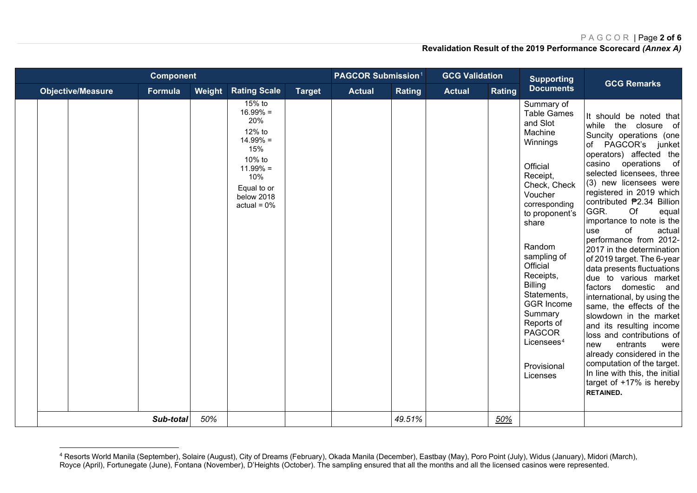### <span id="page-3-0"></span>PAGCOR | Page **2 of 6**

|                          | <b>Component</b> |                               |                                                                                                                                           |               | <b>PAGCOR Submission1</b> |        | <b>GCG Validation</b> |        | <b>Supporting</b>                                                                                                                                                                                                                                                                                                                                                         | <b>GCG Remarks</b>                                                                                                                                                                                                                                                                                                                                                                                                                                                                                                                                                                                                                                                                                                                                                                                                                                |
|--------------------------|------------------|-------------------------------|-------------------------------------------------------------------------------------------------------------------------------------------|---------------|---------------------------|--------|-----------------------|--------|---------------------------------------------------------------------------------------------------------------------------------------------------------------------------------------------------------------------------------------------------------------------------------------------------------------------------------------------------------------------------|---------------------------------------------------------------------------------------------------------------------------------------------------------------------------------------------------------------------------------------------------------------------------------------------------------------------------------------------------------------------------------------------------------------------------------------------------------------------------------------------------------------------------------------------------------------------------------------------------------------------------------------------------------------------------------------------------------------------------------------------------------------------------------------------------------------------------------------------------|
| <b>Objective/Measure</b> | Formula          | Weight<br><b>Rating Scale</b> |                                                                                                                                           | <b>Target</b> | <b>Actual</b>             | Rating | <b>Actual</b>         | Rating | <b>Documents</b>                                                                                                                                                                                                                                                                                                                                                          |                                                                                                                                                                                                                                                                                                                                                                                                                                                                                                                                                                                                                                                                                                                                                                                                                                                   |
|                          | Sub-total        |                               | 15% to<br>$16.99\% =$<br>20%<br>12% to<br>$14.99\% =$<br>15%<br>10% to<br>$11.99% =$<br>10%<br>Equal to or<br>below 2018<br>$actual = 0%$ |               |                           |        |                       |        | Summary of<br><b>Table Games</b><br>and Slot<br>Machine<br>Winnings<br>Official<br>Receipt,<br>Check, Check<br>Voucher<br>corresponding<br>to proponent's<br>share<br>Random<br>sampling of<br>Official<br>Receipts,<br><b>Billing</b><br>Statements,<br><b>GGR Income</b><br>Summary<br>Reports of<br><b>PAGCOR</b><br>Licensees <sup>4</sup><br>Provisional<br>Licenses | It should be noted that<br>while the closure of<br>Suncity operations (one<br>of PAGCOR's junket<br>operators) affected the<br>of<br>casino<br>operations<br>selected licensees, three<br>(3) new licensees were<br>registered in 2019 which<br>contributed ₱2.34 Billion<br>GGR.<br>Of<br>equal<br>importance to note is the<br>of<br>actual<br>use<br>performance from 2012-<br>2017 in the determination<br>of 2019 target. The 6-year<br>data presents fluctuations<br>due to various market<br>factors domestic<br>and<br>international, by using the<br>same, the effects of the<br>slowdown in the market<br>and its resulting income<br>loss and contributions of<br>entrants<br>new<br>were<br>already considered in the<br>computation of the target.<br>In line with this, the initial<br>target of +17% is hereby<br><b>RETAINED.</b> |
|                          | 50%              |                               |                                                                                                                                           |               | 49.51%                    |        | 50%                   |        |                                                                                                                                                                                                                                                                                                                                                                           |                                                                                                                                                                                                                                                                                                                                                                                                                                                                                                                                                                                                                                                                                                                                                                                                                                                   |

<sup>4</sup> Resorts World Manila (September), Solaire (August), City of Dreams (February), Okada Manila (December), Eastbay (May), Poro Point (July), Widus (January), Midori (March), Royce (April), Fortunegate (June), Fontana (November), D'Heights (October). The sampling ensured that all the months and all the licensed casinos were represented.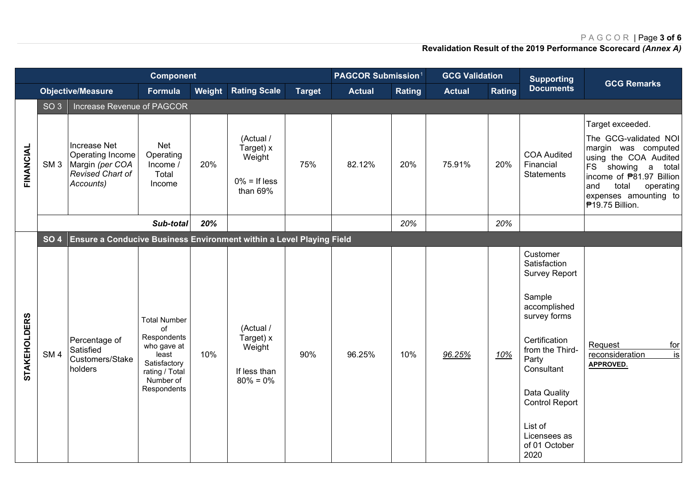# PAGCOR | Page **3 of 6**

|                     |                 |                                                                                      |                                                                                                                                | <b>Component</b><br>PAGCOR Submission <sup>1</sup> |                                                                  |               |               |               |               | <b>GCG Validation</b> |                                                                                                                                                                                                                                                    | <b>GCG Remarks</b>                                                                                                                                                                                                             |
|---------------------|-----------------|--------------------------------------------------------------------------------------|--------------------------------------------------------------------------------------------------------------------------------|----------------------------------------------------|------------------------------------------------------------------|---------------|---------------|---------------|---------------|-----------------------|----------------------------------------------------------------------------------------------------------------------------------------------------------------------------------------------------------------------------------------------------|--------------------------------------------------------------------------------------------------------------------------------------------------------------------------------------------------------------------------------|
|                     |                 | <b>Objective/Measure</b>                                                             | <b>Formula</b>                                                                                                                 | Weight                                             | <b>Rating Scale</b>                                              | <b>Target</b> | <b>Actual</b> | <b>Rating</b> | <b>Actual</b> | Rating                | <b>Supporting</b><br><b>Documents</b>                                                                                                                                                                                                              |                                                                                                                                                                                                                                |
|                     | SO <sub>3</sub> | Increase Revenue of PAGCOR                                                           |                                                                                                                                |                                                    |                                                                  |               |               |               |               |                       |                                                                                                                                                                                                                                                    |                                                                                                                                                                                                                                |
| FINANCIAL           | SM <sub>3</sub> | Increase Net<br>Operating Income<br>Margin (per COA<br>Revised Chart of<br>Accounts) | Net<br>Operating<br>Income /<br>Total<br>Income                                                                                | 20%                                                | (Actual /<br>Target) x<br>Weight<br>$0\% =$ If less<br>than 69%  | 75%           | 82.12%        | 20%           | 75.91%        | 20%                   | <b>COA Audited</b><br>Financial<br><b>Statements</b>                                                                                                                                                                                               | Target exceeded.<br>The GCG-validated NOI<br>margin was computed<br>using the COA Audited<br>FS showing a<br>total<br>income of <b>P81.97</b> Billion<br>and<br>total<br>operating<br>expenses amounting to<br>₱19.75 Billion. |
|                     |                 |                                                                                      | Sub-total                                                                                                                      | 20%                                                |                                                                  |               |               | 20%           |               | 20%                   |                                                                                                                                                                                                                                                    |                                                                                                                                                                                                                                |
|                     | <b>SO 4</b>     | Ensure a Conducive Business Environment within a Level Playing Field                 |                                                                                                                                |                                                    |                                                                  |               |               |               |               |                       |                                                                                                                                                                                                                                                    |                                                                                                                                                                                                                                |
| <b>STAKEHOLDERS</b> | SM <sub>4</sub> | Percentage of<br>Satisfied<br>Customers/Stake<br>holders                             | <b>Total Number</b><br>of<br>Respondents<br>who gave at<br>least<br>Satisfactory<br>rating / Total<br>Number of<br>Respondents | 10%                                                | (Actual /<br>Target) x<br>Weight<br>If less than<br>$80\% = 0\%$ | 90%           | 96.25%        | 10%           | 96.25%        | 10%                   | Customer<br>Satisfaction<br><b>Survey Report</b><br>Sample<br>accomplished<br>survey forms<br>Certification<br>from the Third-<br>Party<br>Consultant<br>Data Quality<br><b>Control Report</b><br>List of<br>Licensees as<br>of 01 October<br>2020 | Request<br>for<br>is<br>reconsideration<br><b>APPROVED.</b>                                                                                                                                                                    |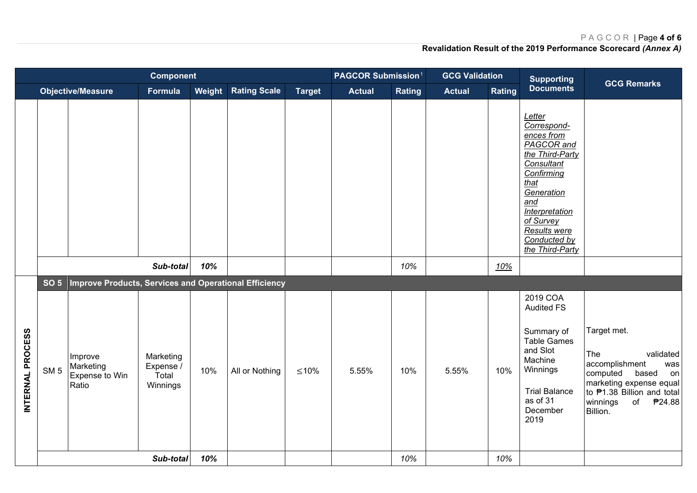# PAGCOR | Page **4 of 6**

|                  |                 |                                                       | <b>Component</b>                            |     |                            |               | <b>PAGCOR Submission1</b> |               | <b>GCG Validation</b> |        | <b>Supporting</b>                                                                                                                                                                                                      |                                                                                                                                                                                      |
|------------------|-----------------|-------------------------------------------------------|---------------------------------------------|-----|----------------------------|---------------|---------------------------|---------------|-----------------------|--------|------------------------------------------------------------------------------------------------------------------------------------------------------------------------------------------------------------------------|--------------------------------------------------------------------------------------------------------------------------------------------------------------------------------------|
|                  |                 | <b>Objective/Measure</b>                              | Formula                                     |     | <b>Weight Rating Scale</b> | <b>Target</b> | <b>Actual</b>             | <b>Rating</b> | <b>Actual</b>         | Rating | <b>Documents</b>                                                                                                                                                                                                       | <b>GCG Remarks</b>                                                                                                                                                                   |
|                  |                 |                                                       |                                             |     |                            |               |                           |               |                       |        | Letter<br>Correspond-<br>ences from<br>PAGCOR and<br>the Third-Party<br>Consultant<br>Confirming<br>that<br>Generation<br>and<br><b>Interpretation</b><br>of Survey<br>Results were<br>Conducted by<br>the Third-Party |                                                                                                                                                                                      |
|                  |                 |                                                       | Sub-total                                   | 10% |                            |               |                           | 10%           |                       | 10%    |                                                                                                                                                                                                                        |                                                                                                                                                                                      |
|                  | <b>SO 5</b>     | Improve Products, Services and Operational Efficiency |                                             |     |                            |               |                           |               |                       |        |                                                                                                                                                                                                                        |                                                                                                                                                                                      |
| INTERNAL PROCESS | SM <sub>5</sub> | Improve<br>Marketing<br>Expense to Win<br>Ratio       | Marketing<br>Expense /<br>Total<br>Winnings | 10% | All or Nothing             | $≤10%$        | 5.55%                     | 10%           | 5.55%                 | 10%    | 2019 COA<br><b>Audited FS</b><br>Summary of<br><b>Table Games</b><br>and Slot<br>Machine<br>Winnings<br><b>Trial Balance</b><br>as of 31<br>December<br>2019                                                           | Target met.<br>validated<br>The<br>accomplishment<br>was<br>computed<br>based<br>on<br>marketing expense equal<br>to P1.38 Billion and total<br>winnings<br>₱24.88<br>of<br>Billion. |
|                  |                 |                                                       | Sub-total                                   | 10% |                            |               |                           | 10%           |                       | 10%    |                                                                                                                                                                                                                        |                                                                                                                                                                                      |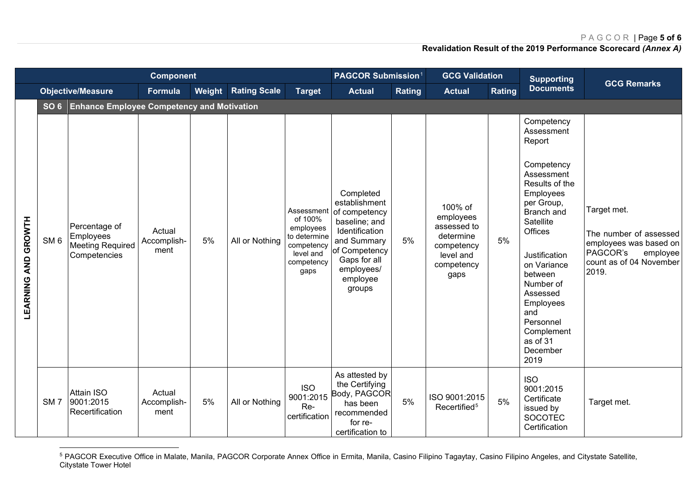## <span id="page-6-0"></span>PAGCOR | Page **5 of 6**

| <b>Component</b>           |                 |                                                                       |                               |        |                     |                                                                                                     | <b>PAGCOR Submission1</b>                                                                                                                                          |        | <b>GCG Validation</b>                                                                             |        | <b>Supporting</b>                                                                                                                                                                                                                                                                                    |                                                                                                                             |  |
|----------------------------|-----------------|-----------------------------------------------------------------------|-------------------------------|--------|---------------------|-----------------------------------------------------------------------------------------------------|--------------------------------------------------------------------------------------------------------------------------------------------------------------------|--------|---------------------------------------------------------------------------------------------------|--------|------------------------------------------------------------------------------------------------------------------------------------------------------------------------------------------------------------------------------------------------------------------------------------------------------|-----------------------------------------------------------------------------------------------------------------------------|--|
|                            |                 | <b>Objective/Measure</b>                                              | Formula                       | Weight | <b>Rating Scale</b> | <b>Target</b>                                                                                       | <b>Actual</b>                                                                                                                                                      | Rating | <b>Actual</b>                                                                                     | Rating | <b>Documents</b>                                                                                                                                                                                                                                                                                     | <b>GCG Remarks</b>                                                                                                          |  |
|                            | SO <sub>6</sub> | <b>Enhance Employee Competency and Motivation</b>                     |                               |        |                     |                                                                                                     |                                                                                                                                                                    |        |                                                                                                   |        |                                                                                                                                                                                                                                                                                                      |                                                                                                                             |  |
| <b>LEARNING AND GROWTH</b> | SM <sub>6</sub> | Percentage of<br>Employees<br><b>Meeting Required</b><br>Competencies | Actual<br>Accomplish-<br>ment | 5%     | All or Nothing      | Assessment<br>of 100%<br>employees<br>to determine<br>competency<br>level and<br>competency<br>gaps | Completed<br>establishment<br>of competency<br>baseline; and<br>Identification<br>and Summary<br>of Competency<br>Gaps for all<br>employees/<br>employee<br>groups | 5%     | 100% of<br>employees<br>assessed to<br>determine<br>competency<br>level and<br>competency<br>gaps | 5%     | Competency<br>Assessment<br>Report<br>Competency<br>Assessment<br>Results of the<br>Employees<br>per Group,<br>Branch and<br>Satellite<br>Offices<br>Justification<br>on Variance<br>between<br>Number of<br>Assessed<br>Employees<br>and<br>Personnel<br>Complement<br>as of 31<br>December<br>2019 | Target met.<br>The number of assessed<br>employees was based on<br>PAGCOR's<br>employee<br>count as of 04 November<br>2019. |  |
|                            | SM <sub>7</sub> | <b>Attain ISO</b><br>9001:2015<br>Recertification                     | Actual<br>Accomplish-<br>ment | 5%     | All or Nothing      | <b>ISO</b><br>9001:2015<br>Re-<br>certification                                                     | As attested by<br>the Certifying<br>Body, PAGCOR<br>has been<br>recommended<br>for re-<br>certification to                                                         | 5%     | ISO 9001:2015<br>Recertified <sup>5</sup>                                                         | 5%     | <b>ISO</b><br>9001:2015<br>Certificate<br>issued by<br>SOCOTEC<br>Certification                                                                                                                                                                                                                      | Target met.                                                                                                                 |  |

 $^5$  PAGCOR Executive Office in Malate, Manila, PAGCOR Corporate Annex Office in Ermita, Manila, Casino Filipino Tagaytay, Casino Filipino Angeles, and Citystate Satellite, Citystate Tower Hotel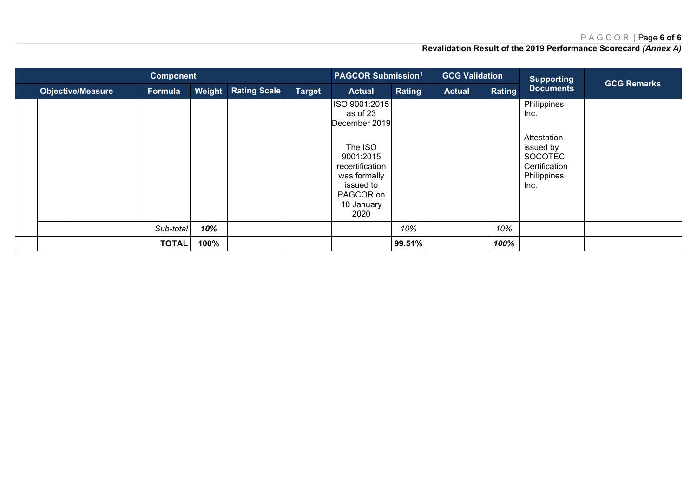#### PAGCOR | Page **6 of 6**

| <b>Component</b>         |                      |         |           |                                      |  |               | <b>PAGCOR Submission1</b>                                                                                                                             |               | <b>GCG Validation</b> |                  | <b>Supporting</b>                                                                                           | <b>GCG Remarks</b> |
|--------------------------|----------------------|---------|-----------|--------------------------------------|--|---------------|-------------------------------------------------------------------------------------------------------------------------------------------------------|---------------|-----------------------|------------------|-------------------------------------------------------------------------------------------------------------|--------------------|
| <b>Objective/Measure</b> |                      | Formula | Weight    | <b>Rating Scale</b><br><b>Target</b> |  | <b>Actual</b> | Rating                                                                                                                                                | <b>Actual</b> | Rating                | <b>Documents</b> |                                                                                                             |                    |
|                          |                      |         |           |                                      |  |               | ISO 9001:2015<br>as of 23<br>December 2019<br>The ISO<br>9001:2015<br>recertification<br>was formally<br>issued to<br>PAGCOR on<br>10 January<br>2020 |               |                       |                  | Philippines,<br>Inc.<br>Attestation<br>issued by<br><b>SOCOTEC</b><br>Certification<br>Philippines,<br>Inc. |                    |
|                          |                      |         | Sub-total | 10%                                  |  |               |                                                                                                                                                       | 10%           |                       | 10%              |                                                                                                             |                    |
|                          | <b>TOTAL</b><br>100% |         |           |                                      |  |               | 99.51%                                                                                                                                                |               | 100%                  |                  |                                                                                                             |                    |